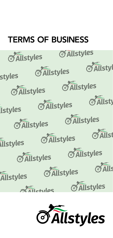# **TERMS OF BUSINESS**



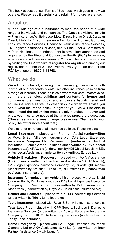This booklet sets out our Terms of Business, which govern how we operate. Please read it carefully and retain it for future reference.

### About us

A-Plan Holdings offers insurance to meet the needs of a wide range of individuals and companies. The Group's divisions include A-Plan Insurance, White House, Motor Direct, Home Direct, Caravan Direct, Liability Direct, Insurance for Holiday Homes, Golfplan, Look Insurance Services, Cherished Vehicle Insurance Services, TR Register Insurance Services, and A-Plan Fleet & Commercial. A-Plan Holdings is an independent intermediary authorised and regulated by the Financial Conduct Authority (FCA) to arrange, advise on and administer insurance. You can check our registration by visiting the FCA website at **[register.fca.org.uk](https://register.fca.org.uk)** and quoting our registration number of 310164. Alternatively, you can contact the FCA by phone on **0800 111 6768**.

### What we do

We act on your behalf, advising on and arranging insurance for both individual and corporate clients. We offer insurance policies from a range of insurers. These policies cover motor cars, motorcycles, commercial vehicles, buildings and contents for homes and commercial premises, public and employers' liability, travel and equine insurance as well as other risks. So when we advise you about what insurance policy is right for you, we will be able to recommend the policy that most closely matches, in cover and price, your insurance needs at the time we prepare the quotation. (These needs sometimes change; please see 'Changes to your policy' below for more about that.)

We also offer extra optional insurance policies. These include:

**Legal Expenses** – placed with Platinum Assist (underwritten by Royal & Sun Alliance Insurance plc), DAS Legal Expenses Insurance Company Ltd, Proximo Ltd (underwritten by Brit Insurance), Slater Gordon Solutions (underwritten by UK General Insurance Ltd), ARAG plc (underwritten by HDI Global Specialty SE), or Arc Legal Assistance (underwritten by AmTrust Europe Ltd).

**Vehicle Breakdown Recovery** – placed with AXA Assistance (UK) Ltd (underwritten by Inter Partner Assistance SA UK branch), DAS Legal Expenses Insurance Company Ltd, Silverknight Rescue (underwritten by AmTrust Europe Ltd) or Proximo Ltd (underwritten by Ageas Insurance Ltd).

**Insurance for replacement vehicle hire** – placed with Auxillis Ltd (underwritten by Zenith Insurance plc), DAS Legal Expenses Insurance Company Ltd, Proximo Ltd (underwritten by Brit Insurance), or Kindertons (underwritten by Royal & Sun Alliance Insurance plc).

**Helmet and Leathers** – placed with KGM Underwriting Services (underwritten by Trinity Lane Insurance).

**Tools Insurance** – placed with Royal & Sun Alliance Insurance plc.

**Total Loss Plus** – placed with CPP Secure/Business & Domestic Insurance Services (underwritten by Acasta European Insurance Company Ltd), or KGM Underwriting Services (underwritten by Trinity Lane Insurance).

**Home Emergency** – placed with DAS Legal Expenses Insurance Company Ltd or AXA Assistance (UK) Ltd (underwritten by Inter Partner Assistance SA UK branch).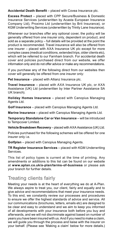**Accidental Death Benefit** – placed with Covea Insurance plc.

**Excess Protect** – placed with CPP Secure/Business & Domestic Insurance Services (underwritten by Acasta European Insurance Company Ltd), Proximo Ltd (underwritten by Brit Insurance), or KGM Underwriting Services (underwritten by Trinity Lane Insurance).

Whenever our branches offer any optional cover, the policy will be generally offered from one insurer only, dependent on product, and sold as a separate policy – full details will be provided at the point the product is recommended. Travel insurance will also be offered from one insurer – placed with AXA Insurance UK plc except for more complex cases (medical conditions, extended trips, older clients etc), which will be referred to our Farnham branch. For accidental death cover and policies purchased direct from our website, we offer information only and do not offer advice or make any recommendations.

If you purchase any of the following direct from our websites then cover will generally be offered from one insurer only:

**Pet Insurance** – placed with Allianz Insurance plc.

**Travel Insurance** – placed with AXA Insurance UK plc, or AXA Assistance (UK) Ltd (underwritten by Inter Partner Assistance SA UK branch).

**Holiday Homes Insurance** – placed with Canopius Managing Agents Ltd.

**Golf Insurance** – placed with Canopius Managing Agents Ltd.

**Marine Insurance** – placed with Canopius Managing Agents Ltd.

**Temporary Standalone Car or Van Insurance** – will be introduced to Tempcover Limited.

**Vehicle Breakdown Recovery** – placed with AXA Assistance (UK) Ltd.

Policies purchased for the following schemes will be offered for one insurer only i.e.

**Golfplan** – placed with Canopius Managing Agents.

**TR Register Insurance Services** – placed with KGM Underwriting Services.

This list of policy types is current at the time of printing. Any amendments or additions to this list can be found on our website at **[www.aplan.co.uk/a-plan/terms-of-business](https://www.aplan.co.uk/a-plan/terms-of-business)** or please ask your branch for further details.

### Treating clients fairly

Meeting your needs is at the heart of everything we do at A-Plan. We always aspire to treat you, our client, fairly and equally and to give advice and recommendations that meet your insurance needs. To this end, we constantly review our processes and procedures to ensure we offer the highest standards of advice and service. All our communications (brochures, letters, emails etc) are designed to be clear and easy to understand and we aim to keep you informed of all developments with your insurance both before you buy and afterwards, and we will not discriminate against based on number of years you have been insured with us. And if you need to make a claim, we will guide you through the process and liaise with the insurer on your behalf. (Please see 'Making a claim' below for more details.)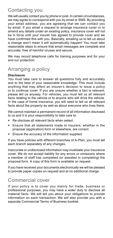# Contacting you

We will usually contact you by phone or post. In certain circumstances, we may agree to correspond with you by email or SMS. By providing your email address, you are agreeing that we can contact you by email. If you email a request to arrange insurance cover or to amend any details under an existing policy, insurance cover will not be in force until your insurer has agreed to provide cover and we have confirmed this with you. Basically, emailing us to tell us about a change won't mean it will automatically happen! You must take reasonable steps to ensure that email messages are complete and accurate, free of harmful viruses and secure.

We may record telephone calls for training purposes and for your and our protection.

# Arranging a policy

#### **Disclosure**

You must take care to answer all questions fully and accurately and to the best of your reasonable knowledge. This must include anything that may affect an insurer's decision to issue a policy or to continue cover. If you are unsure whether a fact is relevant, please tell us anyway. For vehicles, you must tell us all relevant facts relating to the vehicle or to anyone who will drive the vehicle. In the case of home insurance, you will need to tell us all relevant facts about the property as well as about everyone who lives there.

We cannot maintain a permanent record of all information disclosed to us and it is your responsibility to take care to:

- Re-disclose all relevant facts when asked.
- Ensure that all statements made to insurers, whether in the proposal (application) form or elsewhere, are correct.
- Ensure the accuracy of the information supplied.

If you have policies with different branches of A-Plan, you must tell each branch separately of any changes.

Inaccurate or undisclosed information may invalidate your insurance cover. We do not accept liability for any errors or omissions where a member of staff has completed (or assisted in completing) the proposal form. A copy of this form is available on request.

If you have received your documents electronically we will be pleased to provide paper copies on request and at no additional charge.

### Commercial cover

If your policy is to cover you mainly for trade, business or professional purposes, you may have a wider duty to disclose all material facts. We will tell you about your obligations to provide information on each transaction. We will also provide you with a separate Commercial Terms of Business booklet.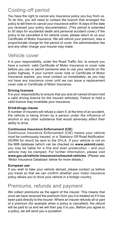# Cooling-off period

You have the right to cancel any insurance policy you buy from us. To do this, you will need to contact the branch that arranged the policy to tell them to cancel your insurance within 14 days of the date you received your policy documentation. (This period is extended to 30 days for accidental death and personal accident cover.) If the policy to be cancelled is for vehicle cover, please return to us your Certificate of Motor Insurance. We will refund your premium, less a proportionate charge for the period of cover, the administration fee and any other charge your insurer may make.

# Vehicle cover

It is your responsibility, under the Road Traffic Act, to ensure you have a current, valid Certificate of Motor Insurance or cover note before you use or permit someone else to use your vehicle on the public highway. If your current cover note or Certificate of Motor Insurance expires, you must contact us immediately, as you may not have any insurance cover until we can issue a replacement cover note or Certificate of Motor Insurance.

#### **Driving licenses**

It is your responsibility to ensure that you and all named drivers hold a valid driving licence for the insured vehicle(s). Failure to hold a valid licence may invalidate your insurance.

#### **Drink/drugs clause**

A number of insurers will refuse a claim if, at the time of an accident, the vehicle is being driven by a person under the influence of alcohol or any other substance that would adversely affect their ability to drive.

#### **Continuous Insurance Enforcement (ClE)**

Continuous Insurance Enforcement (CIE) means your vehicle must be continuously insured, or a 'Statutory Off Road Notification' (SORN for short) be sent to the DVLA. If your vehicle is not on the MIB database (which can be checked on **[www.askmid.com](https://www.askmid.com)**), you may be liable for a fine and even prosecution – and your vehicle may be clamped. For further information, please visit **[www.gov.uk/vehicle-insurance/uninsured-vehicles](https://www.gov.uk/vehicle-insurance/uninsured-vehicles)**. (Please see 'Motor Insurance Database' below for more details.)

#### **European use**

If you wish to take your vehicle abroad, please contact us before you travel so that we can confirm whether your motor insurance policy allows you to drive your vehicle in a foreign country.

### Premiums, refunds and payment

We collect premiums as the agent of the insurer. This means that once we have received the premium from you it is treated as if it has been paid directly to the insurer. Where an insurer refunds all or part of a premium (for example when a policy is cancelled), the refund will be paid to us and we will then pay it to you. Before you agree to a policy, we will send you a quotation.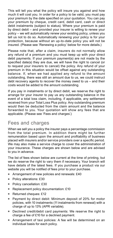This will tell you what the policy will insure you against and how much it will cost you. In order for a policy to be valid, you must pay your premium by the date specified on your quotation. You can pay your premium by cheque, credit card, debit card, cash or direct debit instalments (subject to status). Where your premium is paid by direct debit – and provided your insurer is willing to renew your policy – we will automatically renew your existing policy, unless you tell us not to do so. Automatically renewing your policy is for your protection, because without an up-to-date policy you will not be insured. (Please see 'Renewing a policy' below for more details.)

Please note that, after a claim, insurers do not normally allow any refund of a premium and you must keep up with your direct debit payments. If your premium payment(s) are not made by the specified date(s) they are due, we will have the right to cancel (or to request your insurers to cancel) the policy. Any refund of your premium in this situation would be offset against any outstanding balance. If, when we had applied any refund to the amount outstanding, there was still an amount due to us, we could instruct debt recovery agents to recover the money owed to us – and their costs would be added to the amount outstanding.

If you pay in instalments or by direct debit, we reserve the right to arrange for your insurer to pay us any outstanding balance in the event of a total loss claim, including, if applicable, any settlement received from your Total Loss Plus policy. Any outstanding premium would then be deducted from the claim amount and the balance forwarded to you. Your quotation will show any fees that are applicable. (Please see 'Fees and charges'.)

### Fees and charges

When we sell you a policy the insurer pays a percentage commission from the total premium. In addition there might be further remuneration based upon the amount and profitability of business placed with insurers and/or service providers over a specific period. We may also make a service charge to cover the administration of your insurance. These charges are shown below and are advised to you in advance.

The list of fees shown below are current at the time of printing, but we do reserve the right to vary them if necessary. Your branch will have details of the latest fees. If you purchase a product via our website you will be notified of fees prior to your purchase.

- Arrangement of new policies and renewals: £40
- Policy alterations: £30
- Policy cancellation: £30
- Replacement policy documentation: £10
- Returned cheques: £12
- Payment by direct debit: Minimum deposit of 20% for motor policies, with 10 instalments (11 instalments from renewal) with a charge of up to 13% (APR variable).
- Declined credit/debit card payments: We reserve the right to charge a fee of £10 for a declined payment.
- Arrangement of taxi policies: A fee will be determined on an individual basis for each policy.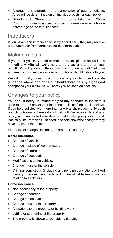- Arrangement, alteration, and cancellation of equine policies: A fee will be determined on an individual basis for each policy.
- Direct debit: Where premium finance is taken with Close Premium Finance, we will receive a commission which is a percentage of the total financed.

### Introducers

If you have been introduced to us by a third party they may receive a remuneration from ourselves for that introduction.

# Making a claim

If you think you may need to make a claim, please let us know immediately. After all, we're here to help you and to act on your behalf. We will guide you through what can often be a difficult time and ensure your insurance company fulfils all its obligations to you.

We will normally monitor the progress of your claim, and provide guidance where appropriate. Should there be any significant changes to your claim, we will notify you as soon as possible.

### Changes to your policy

You should notify us immediately of any changes to the details used to arrange any of your insurance policies (see the list below). If you hold policies with more than one branch, please notify each branch individually. Please do not wait until the renewal date of your policy, as changes to these details could make your policy invalid. Basically, insurers don't just need to be told about the changes: they have to accept them, too.

Examples of changes include (but are not limited to):

#### **Motor insurance**

- Change of vehicle.
- Change in place of work or study.
- Change of address.
- Change of occupation.
- Modifications to the vehicle.  $\bullet$
- Change in use of the vehicle.
- Criminal convictions (including any pending convictions or fixed  $\bullet$ penalty offences), accidents or DVLA-notifiable health issues relating to all drivers.

#### **Home insurance**

- Non-occupancy of the property.
- Change of address.
- Change of occupation.
- Change in use of the property.
- Alterations to the property or building work.
- Letting or sub-letting of the property.
- $\bullet$ The property is shown to be liable to flooding.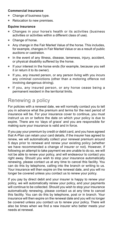#### **Commercial insurance**

- Change of business type.
- Relocation to new premises.

#### **Equine insurance**

- Changes in your horse's health or its activities (business activities or activities within a different class of use).
- Change of horse.
- Any change in the Fair Market Value of the horse. This includes, for example, changes in Fair Market Value or as a result of public auctions or castration.
- In the event of any Illness, disease, lameness, injury, accident, or physical disability suffered by the horse.
- If your interest in the horse ends (for example, because you sell it or return it to its owner).
- If you, any insured person, or any person living with you incurs any criminal convictions (other than a motoring offence not involving dangerous driving).
- If you, any insured person, or any horse cease being a permanent resident in the territorial limits.

# Renewing a policy

For policies with a renewal date, we will normally contact you to tell you in advance what the premium and terms for the next period of insurance will be. For your insurance cover to continue, you must instruct us on or before the date on which your policy is due to expire. There are no 'days of grace' and you are responsible for making sure your insurance is valid and in force.

If you pay your premium by credit or debit card, and you have agreed that A-Plan can retain your card details, if the insurer has agreed to renew, we will automatically collect your renewal premium around 5 days prior to renewal and renew your existing policy (whether we have recommended a change of insurer or not). However, if following an attempt to take payment we are unable to do so, we will not be able to renew your policy, and will endeavour to contact you right away. Should you wish to stop your insurance automatically renewing, please contact us at any time to cancel this facility. You can do this by telephone, calling into the branch or writing to us. Your insurance will then expire on the renewal date, and you will no longer be covered unless you contact us to renew your policy.

If you pay by direct debit and your insurer is happy to renew your policy, we will automatically renew your policy, and your payments will continue to be collected. Should you wish to stop your insurance automatically renewing, please contact us at any time to cancel this facility. You can do this by telephone, post or in branch. Your insurance will then expire on the renewal date and you will no longer be covered unless you contact us to renew your policy. There will also be times when we find a new insurer who better meets your needs at renewal.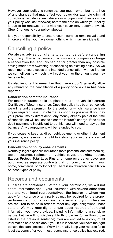However your policy is renewed, you must remember to tell us of any changes that may affect your cover (for example criminal convictions, accidents, new drivers or occupational changes since your policy was last renewed) before the date on which your policy is due to be renewed, otherwise your cover may become invalid. (See 'Changes to your policy' above.)

It is your responsibility to ensure your insurance remains valid and in force and that you have done nothing which may invalidate it.

# Cancelling a policy

We always advise our clients to contact us before cancelling any policy. This is because some insurance companies charge a cancellation fee, and this can be far greater than any possible saving made from switching or cancelling an existing policy. So we recommend you discuss any intended cancellation with us first so we can tell you how much it will cost you – or the amount you may be refunded.

It's also important to remember that insurers don't generally allow any refund on the cancellation of a policy once a claim has been reported.

#### **Cancellation of motor insurance**

For motor insurance policies, please return the vehicle's current Certificate of Motor Insurance. Once the policy has been cancelled, we will refund the premium for the period for which insurance is no longer required (less £30 charge) as soon as possible. If you pay your premiums by direct debit, any money already paid at the time of cancellation will be used to clear the insurer's charge. If the direct debit payment is insufficient to do this, you will need to pay us the balance. Any overpayment will be refunded to you.

If you cease to keep up direct debit payments or other instalment payments, we reserve the right to instruct your insurers to cancel your insurance policy.

#### **Cancellation of policy enhancements**

Normally, legal expenses insurance (both personal and commercial), tools insurance, replacement vehicle cover, breakdown cover, Excess Protect, Total Loss Plus and home emergency cover are purchased as separate contracts that run concurrently with your home, commercial or motor policy. There is no refund on cancellation of these types of policy.

### Records and documents

Our files are confidential. Without your permission, we will not share information about your insurance with anyone other than you and your legal representatives, the insurer to whom you apply for insurance or any party as may be required for the proper performance of our or your insurer's service to you, unless we are required to do so in order to meet any legal obligations under statute. We may keep digital and/or paper records of personal information you have provided, including information of a sensitive nature, but we will not disclose it to third parties (other than those listed in the previous sentence). You are entitled to a copy of all information held on file about you. If it is incorrect, you have the right to have the data corrected. We will normally keep your records for at least six years after your most recent insurance policy has expired.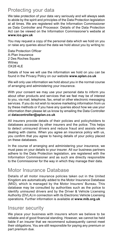# Protecting your data

We take protection of your data very seriously and will always seek to abide by the spirit and principles of the Data Protection legislation at all times. We are registered with the Information Commissioner as Data Controller and Processor. Details of the Data Protection Act can be viewed on the Information Commissioner's website at **[www.ico.gov.uk](https://www.ico.gov.uk)**

You may request a copy of the personal data which we hold on you or raise any queries about the data we hold about you by writing to:

Data Protection Officer A-Plan Insurance 2 Des Roches Square **Witney** OX28 4LE

Details of how we will use the information we hold on you can be found in the Privacy Policy on our website **[www.aplan.co.uk](https://www.aplan.co.uk)**

We will only use information we hold about you in the normal course of arranging and administering your insurance.

With your consent we may use your personal data to inform you about other products and services that we feel may be of interest to you, via mail, telephone, fax, email or other electronic messaging services. If you do not wish to receive marketing information from us by these methods or if you have any queries about how we use your information then please let us know by emailing the Data Controller at **[datacontroller@aplan.co.uk](mailto:datacontroller%40aplan.co.uk?subject=)**

All insurers provide details of their policies and policyholders to databases accessed by other insurers and the police. This helps to detect uninsured drivers and reduce fraud and assists when dealing with claims. When you agree an insurance policy with us, you confirm that you agree to having details of your policy placed on these databases.

In the course of arranging and administering your insurance, we must pass on your details to your insurer. All our business partners adhere to the Data Protection legislation, are registered with the Information Commissioner and as such are directly responsible to the Commissioner for the way in which they manage their data.

### Motor Insurance Database

Details of all motor insurance policies taken out in the United Kingdom are automatically added to the Motor Insurance Database (MID), which is managed by the Motor Insurers' Bureau. This database may be consulted by authorities such as the police to identify uninsured drivers and by the Driver & Vehicle Licensing Authority (DVLA) in connection with its Electronic Vehicle Licensing operations. Further information is available at **[www.mib.org.uk](https://www.mib.org.uk)**

### Insurer security

We place your business with insurers whom we believe to be reliable and of good financial standing. However, we cannot be held liable if an insurer that we recommend subsequently cannot meet their obligations. You are still responsible for paying any premium or part premium due.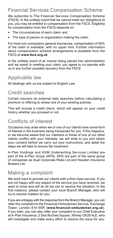# Financial Services Compensation Scheme

We subscribe to The Financial Services Compensation Scheme (FSCS). In the unlikely event that we cannot meet our obligations to you, you may be entitled to compensation from the FSCS. Eligibility for compensation from the FSCS depends on:

- The circumstances of each claim; and
- The type of person or organisation making the claim.

For most non-compulsory general insurances, compensation of 90% of the claim is available, with no upper limit. Further information about compensation scheme arrangements is available from the FSCS at **[www.fscs.org.uk](https://www.fscs.org.uk)**

In the unlikely event of an insurer being placed into administration and we assist in meeting your claim, you agree to co-operate with us in any further possible recovery from the FSCS.

# Applicable law

All dealings with us are subject to English Law.

### Credit searches

Certain insurers do external data searches before calculating a premium or offering to renew one of your existing policies.

This will include a credit check, which will appear on your credit history whether you proceed or not.

### Conflicts of interest

Occasions may arise when we or one of our clients have some form of interest in the business being transacted for you. If this happens, or we become aware that our interests or those of one of our other clients conflict with your interests, we will write to you and obtain your consent before we carry out your instructions, and detail the steps we will take to ensure fair treatment.

A-Plan Holdings and KGM Underwriting Services Limited are part of the A-Plan Group (APG). APG are part of the same group of companies as Dual Corporate Risks Ltd and Howden Insurance Brokers Ltd.

### Making a complaint

We work hard to provide our clients with a first-class service. If you are not happy with any aspect of the service you have received, we want to know and will do all we can to resolve the situation. In the first instance, please contact your local Branch Manager, who will try to resolve matters for you.

If you are unhappy with the response from the Branch Manager, you can refer the complaint to the Financial Ombudsman Service, Exchange Tower, London E14 9SR (**[www.financial-ombudsman.org.uk](https://www.financial-ombudsman.org.uk)**). If you wish, you can also refer your complaint to our Chief Executive at A-Plan Insurance, 2 Des Roches Square, Witney OX28 4LE, who will investigate and make every effort to resolve the issue for you.